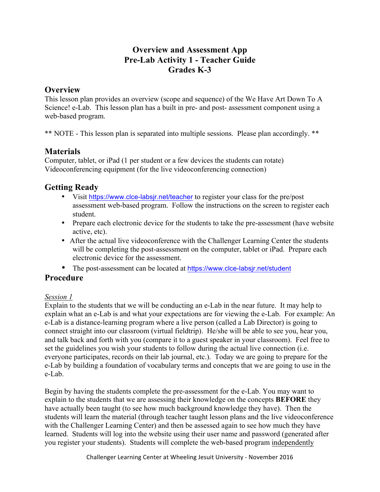## **Overview and Assessment App Pre-Lab Activity 1 - Teacher Guide Grades K-3**

## **Overview**

This lesson plan provides an overview (scope and sequence) of the We Have Art Down To A Science! e-Lab. This lesson plan has a built in pre- and post- assessment component using a web-based program.

\*\* NOTE - This lesson plan is separated into multiple sessions. Please plan accordingly. \*\*

# **Materials**

Computer, tablet, or iPad (1 per student or a few devices the students can rotate) Videoconferencing equipment (for the live videoconferencing connection)

# **Getting Ready**

- Visit https://www.clce-labsjr.net/teacher to register your class for the pre/post assessment web-based program. Follow the instructions on the screen to register each student.
- Prepare each electronic device for the students to take the pre-assessment (have website active, etc).
- After the actual live videoconference with the Challenger Learning Center the students will be completing the post-assessment on the computer, tablet or iPad. Prepare each electronic device for the assessment.
- The post-assessment can be located at https://www.clce-labsjr.net/student

## **Procedure**

### *Session 1*

Explain to the students that we will be conducting an e-Lab in the near future. It may help to explain what an e-Lab is and what your expectations are for viewing the e-Lab. For example: An e-Lab is a distance-learning program where a live person (called a Lab Director) is going to connect straight into our classroom (virtual fieldtrip). He/she will be able to see you, hear you, and talk back and forth with you (compare it to a guest speaker in your classroom). Feel free to set the guidelines you wish your students to follow during the actual live connection (i.e. everyone participates, records on their lab journal, etc.). Today we are going to prepare for the e-Lab by building a foundation of vocabulary terms and concepts that we are going to use in the e-Lab.

Begin by having the students complete the pre-assessment for the e-Lab. You may want to explain to the students that we are assessing their knowledge on the concepts **BEFORE** they have actually been taught (to see how much background knowledge they have). Then the students will learn the material (through teacher taught lesson plans and the live videoconference with the Challenger Learning Center) and then be assessed again to see how much they have learned. Students will log into the website using their user name and password (generated after you register your students). Students will complete the web-based program independently